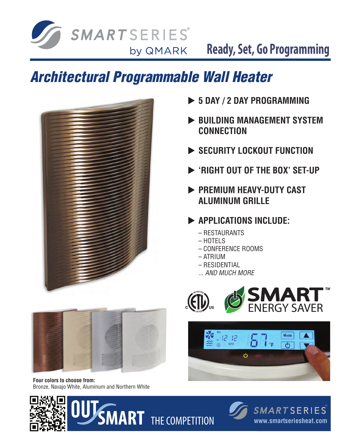

**Ready, Set, Go Programming**

# *Architectural Programmable Wall Heater*



- ▶ 5 DAY / 2 DAY PROGRAMMING
- **BUILDING MANAGEMENT SYSTEM Connection**
- **EXECURITY LOCKOUT FUNCTION**
- u **'Right out of the Box' set-up**
- **PREMIUM HEAVY-DUTY CAST aluminum grille**
- **EXAMPLICATIONS INCLUDE:** 
	- Restaurants
	- Hotels
	- Conference Rooms
	- Atrium
	- Residential
	- *... AND MUCH MORE*





**Four colors to choose from:** Bronze, Navajo White, Aluminum and Northern White